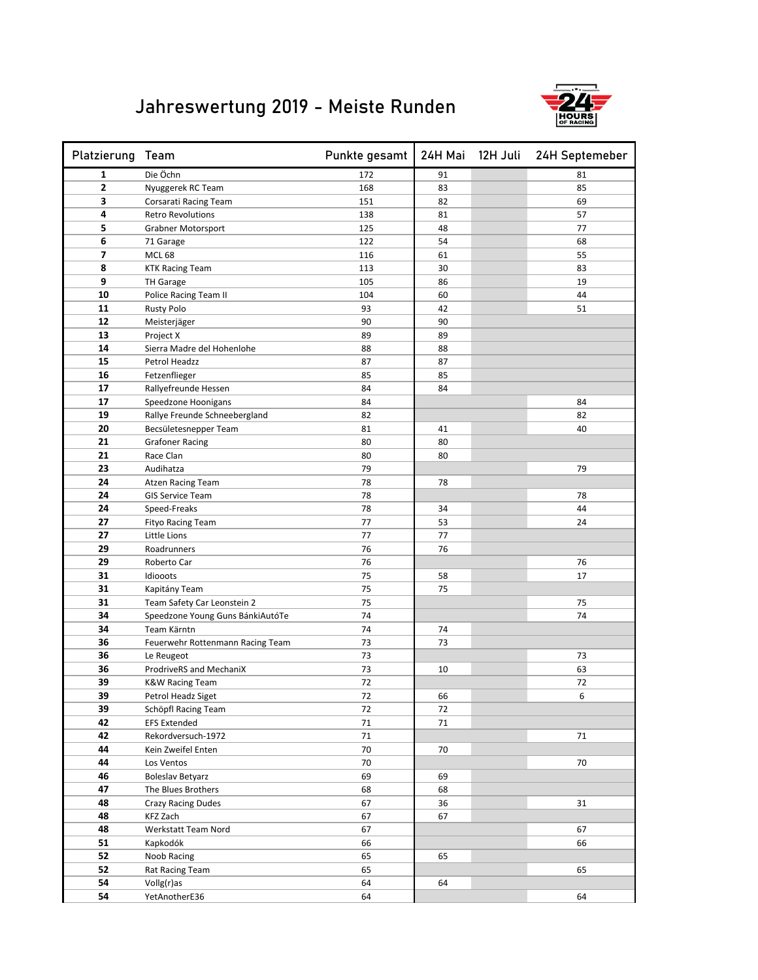## Jahreswertung 2019 - Meiste Runden



| Platzierung Team |                                  | Punkte gesamt |    | 24H Mai 12H Juli 24H Septemeber |
|------------------|----------------------------------|---------------|----|---------------------------------|
| 1                | Die Öchn                         | 172           | 91 | 81                              |
| $\overline{2}$   | Nyuggerek RC Team                | 168           | 83 | 85                              |
| 3                | Corsarati Racing Team            | 151           | 82 | 69                              |
| 4                | <b>Retro Revolutions</b>         | 138           | 81 | 57                              |
| 5                | Grabner Motorsport               | 125           | 48 | 77                              |
| 6                | 71 Garage                        | 122           | 54 | 68                              |
| $\overline{ }$   | <b>MCL 68</b>                    | 116           | 61 | 55                              |
| 8                | <b>KTK Racing Team</b>           | 113           | 30 | 83                              |
| 9                | <b>TH Garage</b>                 | 105           | 86 | 19                              |
| 10               | Police Racing Team II            | 104           | 60 | 44                              |
| 11               | <b>Rusty Polo</b>                | 93            | 42 | 51                              |
| 12               | Meisterjäger                     | 90            | 90 |                                 |
| 13               | Project X                        | 89            | 89 |                                 |
| 14               | Sierra Madre del Hohenlohe       | 88            | 88 |                                 |
| 15               | Petrol Headzz                    | 87            | 87 |                                 |
| 16               | Fetzenflieger                    | 85            | 85 |                                 |
| 17               | Rallyefreunde Hessen             | 84            | 84 |                                 |
| 17               | Speedzone Hoonigans              | 84            |    | 84                              |
| 19               | Rallye Freunde Schneebergland    | 82            |    | 82                              |
| 20               | Becsületesnepper Team            | 81            | 41 | 40                              |
| 21               | <b>Grafoner Racing</b>           | 80            | 80 |                                 |
| 21               | Race Clan                        | 80            | 80 |                                 |
| 23               | Audihatza                        | 79            |    | 79                              |
| 24               | <b>Atzen Racing Team</b>         | 78            | 78 |                                 |
| 24               | <b>GIS Service Team</b>          | 78            |    | 78                              |
| 24               | Speed-Freaks                     | 78            | 34 | 44                              |
| 27               | <b>Fityo Racing Team</b>         | 77            | 53 | 24                              |
| 27               | Little Lions                     | 77            | 77 |                                 |
| 29               | Roadrunners                      | 76            | 76 |                                 |
| 29               | Roberto Car                      | 76            |    | 76                              |
| 31               | Idiooots                         | 75            | 58 | 17                              |
| 31               | Kapitány Team                    | 75            | 75 |                                 |
| 31               | Team Safety Car Leonstein 2      | 75            |    | 75                              |
| 34               | Speedzone Young Guns BánkiAutóTe | 74            |    | 74                              |
| 34               | Team Kärntn                      | 74            | 74 |                                 |
| 36               | Feuerwehr Rottenmann Racing Team | 73            | 73 |                                 |
| 36               | Le Reugeot                       | 73            |    | 73                              |
| 36               | ProdriveRS and MechaniX          | 73            | 10 | 63                              |
| 39               | <b>K&amp;W Racing Team</b>       | 72            |    | 72                              |
| 39               | Petrol Headz Siget               | 72            | 66 | 6                               |
| 39               | Schöpfl Racing Team              | 72            | 72 |                                 |
| 42               | <b>EFS Extended</b>              | 71            | 71 |                                 |
| 42               | Rekordversuch-1972               | 71            |    | 71                              |
| 44               | Kein Zweifel Enten               | 70            | 70 |                                 |
| 44               | Los Ventos                       | 70            |    | 70                              |
| 46               | <b>Boleslav Betyarz</b>          | 69            | 69 |                                 |
| 47               | The Blues Brothers               | 68            | 68 |                                 |
| 48               | <b>Crazy Racing Dudes</b>        | 67            | 36 | 31                              |
| 48               | KFZ Zach                         | 67            | 67 |                                 |
| 48               | Werkstatt Team Nord              | 67            |    | 67                              |
| 51               | Kapkodók                         | 66            |    | 66                              |
| 52               | Noob Racing                      | 65            | 65 |                                 |
| 52               | Rat Racing Team                  | 65            |    | 65                              |
| 54               | Vollg(r)as                       | 64            | 64 |                                 |
| 54               | YetAnotherE36                    | 64            |    | 64                              |
|                  |                                  |               |    |                                 |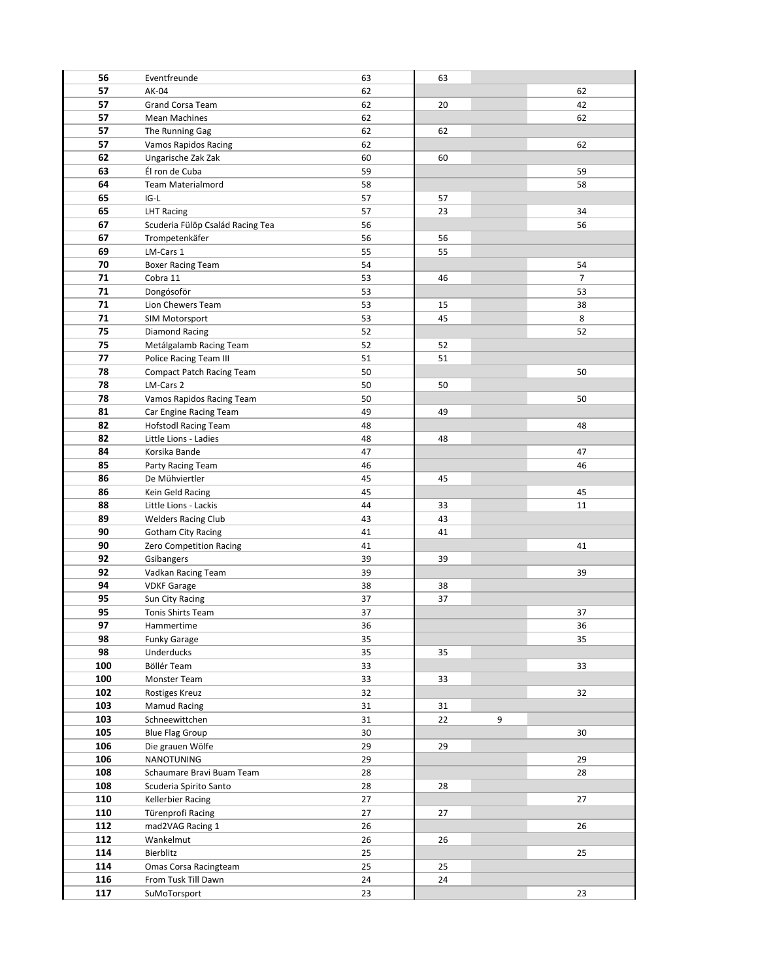| 56  | Eventfreunde                     | 63 | 63 |   |    |
|-----|----------------------------------|----|----|---|----|
| 57  | AK-04                            | 62 |    |   | 62 |
| 57  | Grand Corsa Team                 | 62 | 20 |   | 42 |
| 57  | <b>Mean Machines</b>             | 62 |    |   | 62 |
|     |                                  |    |    |   |    |
| 57  | The Running Gag                  | 62 | 62 |   |    |
| 57  | <b>Vamos Rapidos Racing</b>      | 62 |    |   | 62 |
| 62  | Ungarische Zak Zak               | 60 | 60 |   |    |
| 63  | Él ron de Cuba                   | 59 |    |   | 59 |
| 64  | Team Materialmord                | 58 |    |   | 58 |
| 65  | IG-L                             | 57 | 57 |   |    |
| 65  | <b>LHT Racing</b>                | 57 | 23 |   | 34 |
| 67  | Scuderia Fülöp Család Racing Tea | 56 |    |   | 56 |
| 67  | Trompetenkäfer                   | 56 | 56 |   |    |
| 69  | LM-Cars 1                        | 55 | 55 |   |    |
| 70  | <b>Boxer Racing Team</b>         | 54 |    |   | 54 |
| 71  | Cobra 11                         | 53 | 46 |   | 7  |
| 71  | Dongósoför                       | 53 |    |   | 53 |
| 71  | Lion Chewers Team                | 53 | 15 |   | 38 |
| 71  | SIM Motorsport                   | 53 | 45 |   | 8  |
|     |                                  |    |    |   |    |
| 75  | Diamond Racing                   | 52 |    |   | 52 |
| 75  | Metálgalamb Racing Team          | 52 | 52 |   |    |
| 77  | Police Racing Team III           | 51 | 51 |   |    |
| 78  | <b>Compact Patch Racing Team</b> | 50 |    |   | 50 |
| 78  | LM-Cars 2                        | 50 | 50 |   |    |
| 78  | Vamos Rapidos Racing Team        | 50 |    |   | 50 |
| 81  | Car Engine Racing Team           | 49 | 49 |   |    |
| 82  | <b>Hofstodl Racing Team</b>      | 48 |    |   | 48 |
| 82  | Little Lions - Ladies            | 48 | 48 |   |    |
| 84  | Korsika Bande                    | 47 |    |   | 47 |
| 85  | Party Racing Team                | 46 |    |   | 46 |
| 86  | De Mühviertler                   | 45 | 45 |   |    |
| 86  | Kein Geld Racing                 | 45 |    |   | 45 |
| 88  | Little Lions - Lackis            | 44 | 33 |   | 11 |
| 89  | <b>Welders Racing Club</b>       | 43 | 43 |   |    |
| 90  | <b>Gotham City Racing</b>        | 41 | 41 |   |    |
| 90  |                                  | 41 |    |   | 41 |
| 92  | Zero Competition Racing          |    |    |   |    |
|     | Gsibangers                       | 39 | 39 |   |    |
| 92  | Vadkan Racing Team               | 39 |    |   | 39 |
| 94  | <b>VDKF Garage</b>               | 38 | 38 |   |    |
| 95  | Sun City Racing                  | 37 | 37 |   |    |
| 95  | <b>Tonis Shirts Team</b>         | 37 |    |   | 37 |
| 97  | Hammertime                       | 36 |    |   | 36 |
| 98  | <b>Funky Garage</b>              | 35 |    |   | 35 |
| 98  | Underducks                       | 35 | 35 |   |    |
| 100 | Böllér Team                      | 33 |    |   | 33 |
| 100 | Monster Team                     | 33 | 33 |   |    |
| 102 | Rostiges Kreuz                   | 32 |    |   | 32 |
| 103 | Mamud Racing                     | 31 | 31 |   |    |
| 103 | Schneewittchen                   | 31 | 22 | 9 |    |
| 105 | <b>Blue Flag Group</b>           | 30 |    |   | 30 |
| 106 | Die grauen Wölfe                 | 29 | 29 |   |    |
| 106 | NANOTUNING                       | 29 |    |   | 29 |
| 108 | Schaumare Bravi Buam Team        | 28 |    |   | 28 |
| 108 | Scuderia Spirito Santo           | 28 | 28 |   |    |
| 110 |                                  | 27 |    |   |    |
|     | Kellerbier Racing                |    |    |   | 27 |
| 110 | Türenprofi Racing                | 27 | 27 |   |    |
| 112 | mad2VAG Racing 1                 | 26 |    |   | 26 |
| 112 | Wankelmut                        | 26 | 26 |   |    |
| 114 | Bierblitz                        | 25 |    |   | 25 |
| 114 | Omas Corsa Racingteam            | 25 | 25 |   |    |
| 116 | From Tusk Till Dawn              | 24 | 24 |   |    |
| 117 | SuMoTorsport                     | 23 |    |   | 23 |